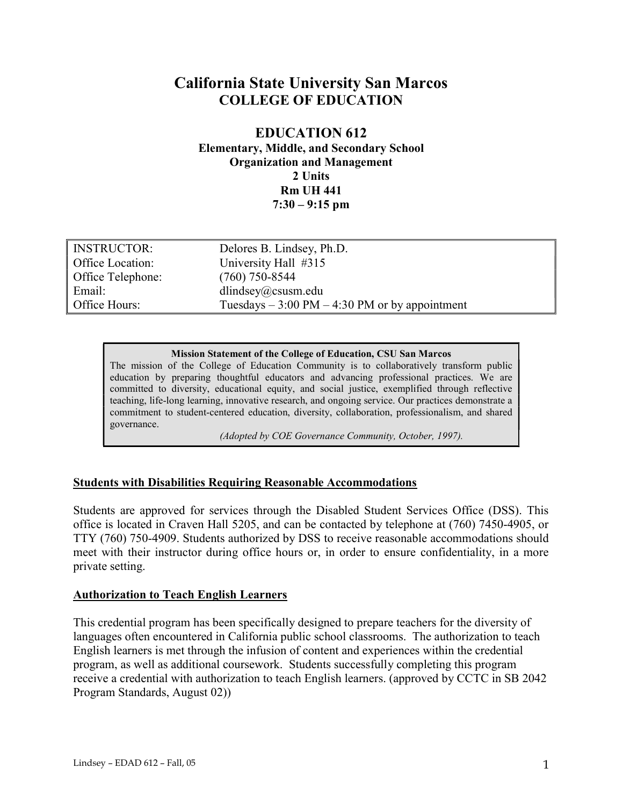# California State University San Marcos COLLEGE OF EDUCATION

# EDUCATION 612 Elementary, Middle, and Secondary School Organization and Management 2 Units Rm UH 441  $7:30 - 9:15$  pm

| <b>INSTRUCTOR:</b> | Delores B. Lindsey, Ph.D.                                       |
|--------------------|-----------------------------------------------------------------|
| Office Location:   | University Hall #315                                            |
| Office Telephone:  | $(760)$ 750-8544                                                |
| Email:             | dlindsey@csusm.edu                                              |
| Office Hours:      | Tuesdays $-3:00 \text{ PM} - 4:30 \text{ PM}$ or by appointment |

#### Mission Statement of the College of Education, CSU San Marcos

The mission of the College of Education Community is to collaboratively transform public education by preparing thoughtful educators and advancing professional practices. We are committed to diversity, educational equity, and social justice, exemplified through reflective teaching, life-long learning, innovative research, and ongoing service. Our practices demonstrate a commitment to student-centered education, diversity, collaboration, professionalism, and shared governance.

(Adopted by COE Governance Community, October, 1997).

## Students with Disabilities Requiring Reasonable Accommodations

Students are approved for services through the Disabled Student Services Office (DSS). This office is located in Craven Hall 5205, and can be contacted by telephone at (760) 7450-4905, or TTY (760) 750-4909. Students authorized by DSS to receive reasonable accommodations should meet with their instructor during office hours or, in order to ensure confidentiality, in a more private setting.

#### Authorization to Teach English Learners

This credential program has been specifically designed to prepare teachers for the diversity of languages often encountered in California public school classrooms. The authorization to teach English learners is met through the infusion of content and experiences within the credential program, as well as additional coursework. Students successfully completing this program receive a credential with authorization to teach English learners. (approved by CCTC in SB 2042 Program Standards, August 02))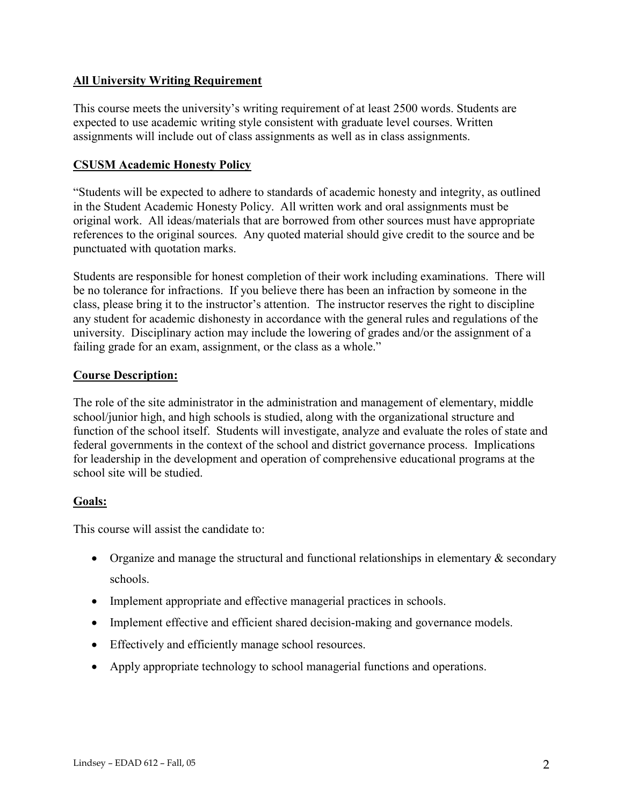# All University Writing Requirement

This course meets the university's writing requirement of at least 2500 words. Students are expected to use academic writing style consistent with graduate level courses. Written assignments will include out of class assignments as well as in class assignments.

# CSUSM Academic Honesty Policy

"Students will be expected to adhere to standards of academic honesty and integrity, as outlined in the Student Academic Honesty Policy. All written work and oral assignments must be original work. All ideas/materials that are borrowed from other sources must have appropriate references to the original sources. Any quoted material should give credit to the source and be punctuated with quotation marks.

Students are responsible for honest completion of their work including examinations. There will be no tolerance for infractions. If you believe there has been an infraction by someone in the class, please bring it to the instructor's attention. The instructor reserves the right to discipline any student for academic dishonesty in accordance with the general rules and regulations of the university. Disciplinary action may include the lowering of grades and/or the assignment of a failing grade for an exam, assignment, or the class as a whole."

## Course Description:

The role of the site administrator in the administration and management of elementary, middle school/junior high, and high schools is studied, along with the organizational structure and function of the school itself. Students will investigate, analyze and evaluate the roles of state and federal governments in the context of the school and district governance process. Implications for leadership in the development and operation of comprehensive educational programs at the school site will be studied.

# Goals:

This course will assist the candidate to:

- Organize and manage the structural and functional relationships in elementary  $\&$  secondary schools.
- Implement appropriate and effective managerial practices in schools.
- Implement effective and efficient shared decision-making and governance models.
- Effectively and efficiently manage school resources.
- Apply appropriate technology to school managerial functions and operations.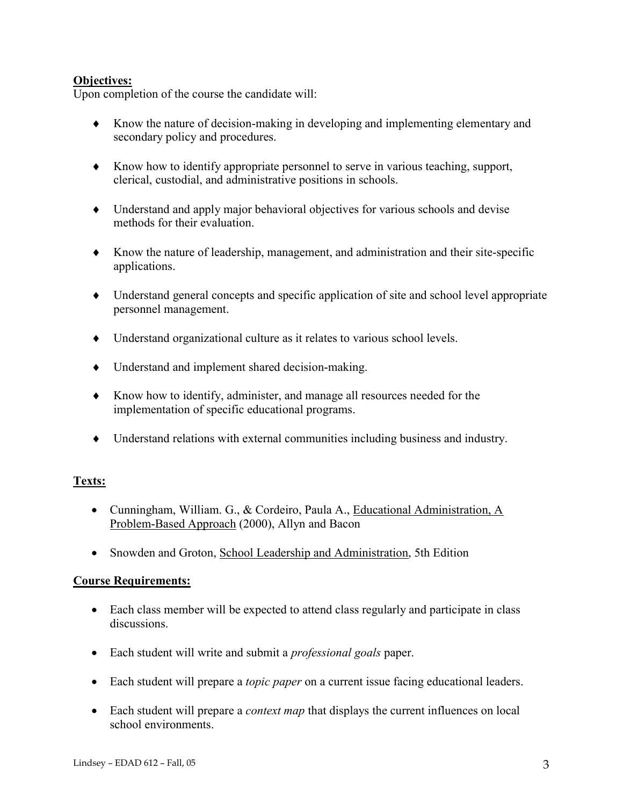# Objectives:

Upon completion of the course the candidate will:

- Know the nature of decision-making in developing and implementing elementary and secondary policy and procedures.
- $\blacklozenge$  Know how to identify appropriate personnel to serve in various teaching, support, clerical, custodial, and administrative positions in schools.
- Understand and apply major behavioral objectives for various schools and devise methods for their evaluation.
- Know the nature of leadership, management, and administration and their site-specific applications.
- Understand general concepts and specific application of site and school level appropriate personnel management.
- Understand organizational culture as it relates to various school levels.
- Understand and implement shared decision-making.
- Know how to identify, administer, and manage all resources needed for the implementation of specific educational programs.
- Understand relations with external communities including business and industry.

## Texts:

- Cunningham, William. G., & Cordeiro, Paula A., Educational Administration, A Problem-Based Approach (2000), Allyn and Bacon
- Snowden and Groton, School Leadership and Administration, 5th Edition

## Course Requirements:

- Each class member will be expected to attend class regularly and participate in class discussions.
- Each student will write and submit a *professional goals* paper.
- Each student will prepare a *topic paper* on a current issue facing educational leaders.
- Each student will prepare a *context map* that displays the current influences on local school environments.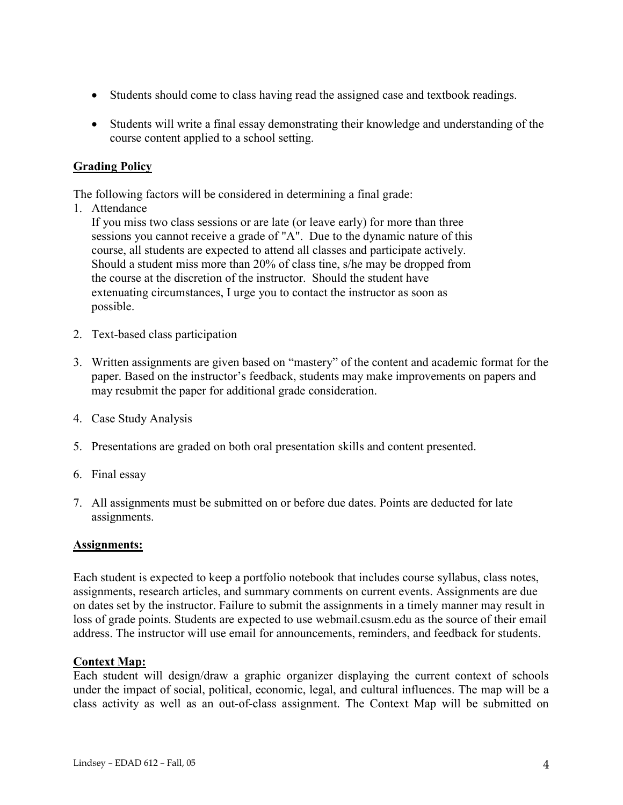- Students should come to class having read the assigned case and textbook readings.
- Students will write a final essay demonstrating their knowledge and understanding of the course content applied to a school setting.

# Grading Policy

The following factors will be considered in determining a final grade:

1. Attendance

If you miss two class sessions or are late (or leave early) for more than three sessions you cannot receive a grade of "A". Due to the dynamic nature of this course, all students are expected to attend all classes and participate actively. Should a student miss more than 20% of class tine, s/he may be dropped from the course at the discretion of the instructor. Should the student have extenuating circumstances, I urge you to contact the instructor as soon as possible.

- 2. Text-based class participation
- 3. Written assignments are given based on "mastery" of the content and academic format for the paper. Based on the instructor's feedback, students may make improvements on papers and may resubmit the paper for additional grade consideration.
- 4. Case Study Analysis
- 5. Presentations are graded on both oral presentation skills and content presented.
- 6. Final essay
- 7. All assignments must be submitted on or before due dates. Points are deducted for late assignments.

## Assignments:

Each student is expected to keep a portfolio notebook that includes course syllabus, class notes, assignments, research articles, and summary comments on current events. Assignments are due on dates set by the instructor. Failure to submit the assignments in a timely manner may result in loss of grade points. Students are expected to use webmail.csusm.edu as the source of their email address. The instructor will use email for announcements, reminders, and feedback for students.

#### Context Map:

Each student will design/draw a graphic organizer displaying the current context of schools under the impact of social, political, economic, legal, and cultural influences. The map will be a class activity as well as an out-of-class assignment. The Context Map will be submitted on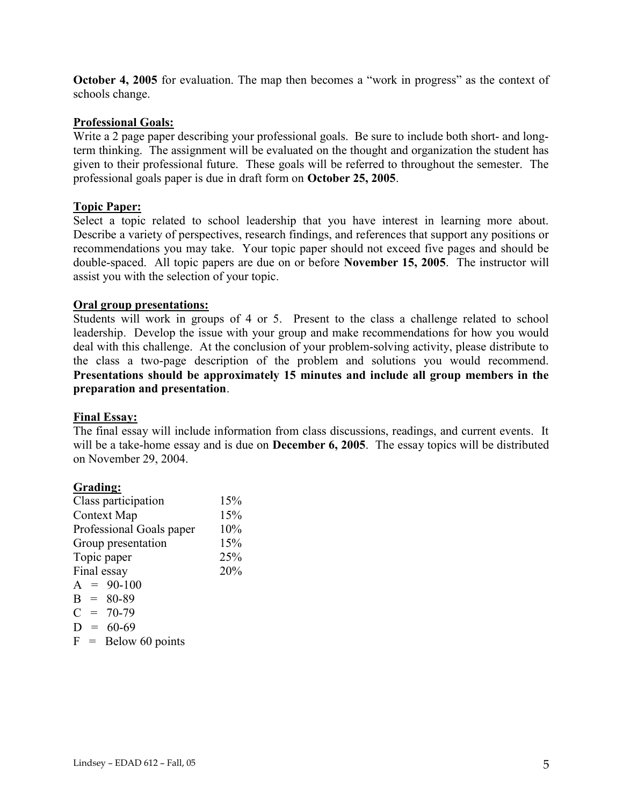October 4, 2005 for evaluation. The map then becomes a "work in progress" as the context of schools change.

## Professional Goals:

Write a 2 page paper describing your professional goals. Be sure to include both short- and longterm thinking. The assignment will be evaluated on the thought and organization the student has given to their professional future. These goals will be referred to throughout the semester. The professional goals paper is due in draft form on October 25, 2005.

### Topic Paper:

Select a topic related to school leadership that you have interest in learning more about. Describe a variety of perspectives, research findings, and references that support any positions or recommendations you may take. Your topic paper should not exceed five pages and should be double-spaced. All topic papers are due on or before November 15, 2005. The instructor will assist you with the selection of your topic.

### Oral group presentations:

Students will work in groups of 4 or 5. Present to the class a challenge related to school leadership. Develop the issue with your group and make recommendations for how you would deal with this challenge. At the conclusion of your problem-solving activity, please distribute to the class a two-page description of the problem and solutions you would recommend. Presentations should be approximately 15 minutes and include all group members in the preparation and presentation.

#### Final Essay:

The final essay will include information from class discussions, readings, and current events. It will be a take-home essay and is due on **December 6, 2005**. The essay topics will be distributed on November 29, 2004.

#### Grading:

| Class participation       | 15% |
|---------------------------|-----|
| Context Map               | 15% |
| Professional Goals paper  | 10% |
| 15%<br>Group presentation |     |
| Topic paper               | 25% |
| Final essay               | 20% |
| $A = 90-100$              |     |
| $B = 80-89$               |     |
| $C = 70-79$               |     |
| $D = 60-69$               |     |
| $F =$ Below 60 points     |     |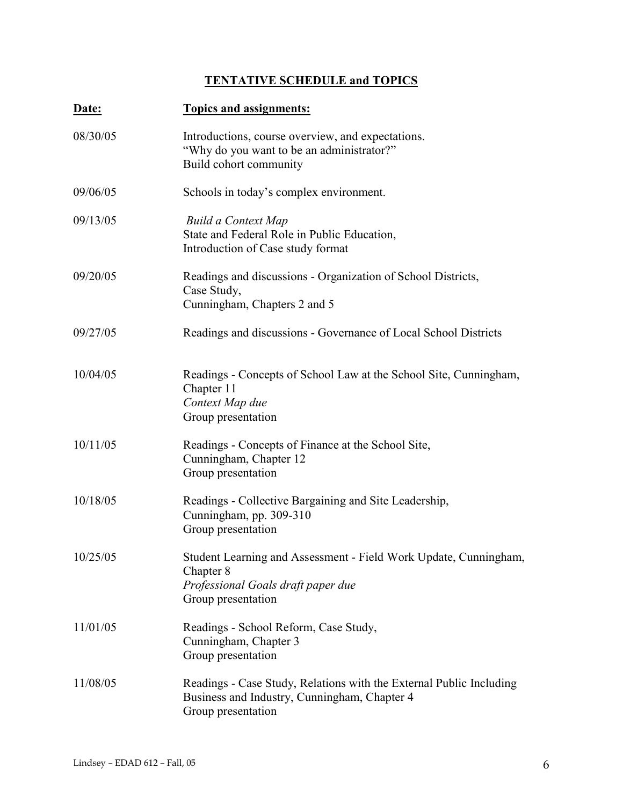# TENTATIVE SCHEDULE and TOPICS

| Date:    | <b>Topics and assignments:</b>                                                                                                            |
|----------|-------------------------------------------------------------------------------------------------------------------------------------------|
| 08/30/05 | Introductions, course overview, and expectations.<br>"Why do you want to be an administrator?"<br>Build cohort community                  |
| 09/06/05 | Schools in today's complex environment.                                                                                                   |
| 09/13/05 | <b>Build a Context Map</b><br>State and Federal Role in Public Education,<br>Introduction of Case study format                            |
| 09/20/05 | Readings and discussions - Organization of School Districts,<br>Case Study,<br>Cunningham, Chapters 2 and 5                               |
| 09/27/05 | Readings and discussions - Governance of Local School Districts                                                                           |
| 10/04/05 | Readings - Concepts of School Law at the School Site, Cunningham,<br>Chapter 11<br>Context Map due<br>Group presentation                  |
| 10/11/05 | Readings - Concepts of Finance at the School Site,<br>Cunningham, Chapter 12<br>Group presentation                                        |
| 10/18/05 | Readings - Collective Bargaining and Site Leadership,<br>Cunningham, pp. 309-310<br>Group presentation                                    |
| 10/25/05 | Student Learning and Assessment - Field Work Update, Cunningham,<br>Chapter 8<br>Professional Goals draft paper due<br>Group presentation |
| 11/01/05 | Readings - School Reform, Case Study,<br>Cunningham, Chapter 3<br>Group presentation                                                      |
| 11/08/05 | Readings - Case Study, Relations with the External Public Including<br>Business and Industry, Cunningham, Chapter 4<br>Group presentation |